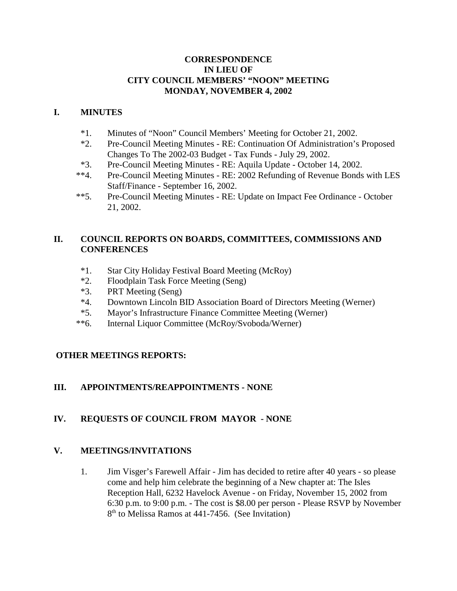### **CORRESPONDENCE IN LIEU OF CITY COUNCIL MEMBERS' "NOON" MEETING MONDAY, NOVEMBER 4, 2002**

### **I. MINUTES**

- \*1. Minutes of "Noon" Council Members' Meeting for October 21, 2002.
- \*2. Pre-Council Meeting Minutes RE: Continuation Of Administration's Proposed Changes To The 2002-03 Budget - Tax Funds - July 29, 2002.
- \*3. Pre-Council Meeting Minutes RE: Aquila Update October 14, 2002.
- \*\*4. Pre-Council Meeting Minutes RE: 2002 Refunding of Revenue Bonds with LES Staff/Finance - September 16, 2002.
- \*\*5. Pre-Council Meeting Minutes RE: Update on Impact Fee Ordinance October 21, 2002.

## **II. COUNCIL REPORTS ON BOARDS, COMMITTEES, COMMISSIONS AND CONFERENCES**

- \*1. Star City Holiday Festival Board Meeting (McRoy)
- \*2. Floodplain Task Force Meeting (Seng)
- \*3. PRT Meeting (Seng)
- \*4. Downtown Lincoln BID Association Board of Directors Meeting (Werner)
- \*5. Mayor's Infrastructure Finance Committee Meeting (Werner)
- \*\*6. Internal Liquor Committee (McRoy/Svoboda/Werner)

### **OTHER MEETINGS REPORTS:**

### **III. APPOINTMENTS/REAPPOINTMENTS - NONE**

# **IV. REQUESTS OF COUNCIL FROM MAYOR - NONE**

### **V. MEETINGS/INVITATIONS**

1. Jim Visger's Farewell Affair - Jim has decided to retire after 40 years - so please come and help him celebrate the beginning of a New chapter at: The Isles Reception Hall, 6232 Havelock Avenue - on Friday, November 15, 2002 from 6:30 p.m. to 9:00 p.m. - The cost is \$8.00 per person - Please RSVP by November 8<sup>th</sup> to Melissa Ramos at 441-7456. (See Invitation)